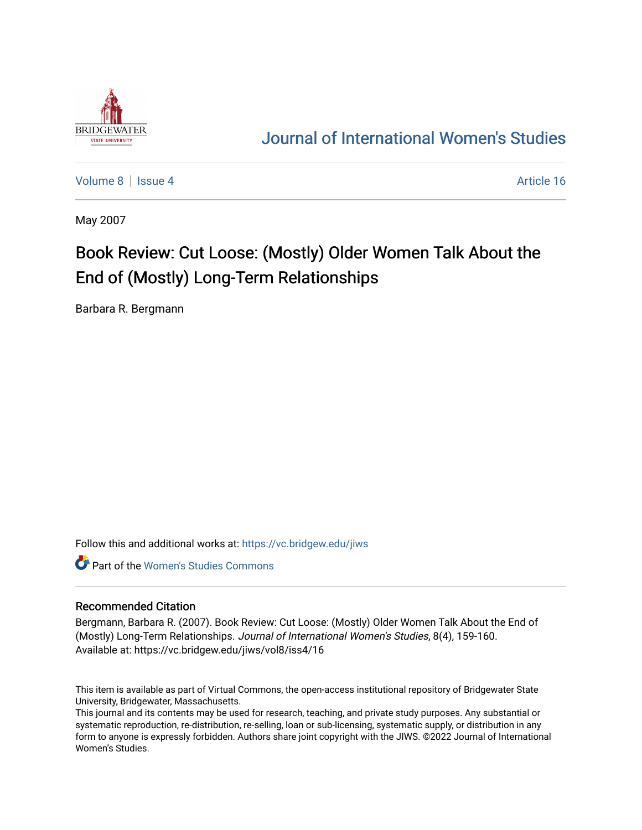

## [Journal of International Women's Studies](https://vc.bridgew.edu/jiws)

[Volume 8](https://vc.bridgew.edu/jiws/vol8) | [Issue 4](https://vc.bridgew.edu/jiws/vol8/iss4) Article 16

May 2007

## Book Review: Cut Loose: (Mostly) Older Women Talk About the End of (Mostly) Long-Term Relationships

Barbara R. Bergmann

Follow this and additional works at: [https://vc.bridgew.edu/jiws](https://vc.bridgew.edu/jiws?utm_source=vc.bridgew.edu%2Fjiws%2Fvol8%2Fiss4%2F16&utm_medium=PDF&utm_campaign=PDFCoverPages)

**C** Part of the Women's Studies Commons

## Recommended Citation

Bergmann, Barbara R. (2007). Book Review: Cut Loose: (Mostly) Older Women Talk About the End of (Mostly) Long-Term Relationships. Journal of International Women's Studies, 8(4), 159-160. Available at: https://vc.bridgew.edu/jiws/vol8/iss4/16

This item is available as part of Virtual Commons, the open-access institutional repository of Bridgewater State University, Bridgewater, Massachusetts.

This journal and its contents may be used for research, teaching, and private study purposes. Any substantial or systematic reproduction, re-distribution, re-selling, loan or sub-licensing, systematic supply, or distribution in any form to anyone is expressly forbidden. Authors share joint copyright with the JIWS. ©2022 Journal of International Women's Studies.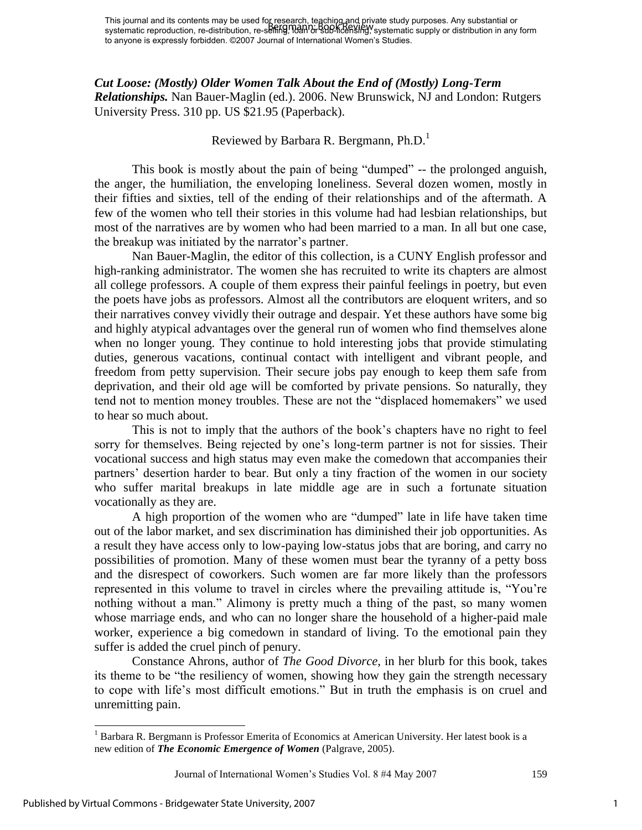This journal and its contents may be used for research, teaching and private study purposes. Any substantial or This journal and its contents may be used to research, tegering and private study parposes. Any substantial or<br>systematic reproduction, re-distribution, re-selling, ideal or sub-licensing, systematic supply or distribution to anyone is expressly forbidden. ©2007 Journal of International Women's Studies.

*Cut Loose: (Mostly) Older Women Talk About the End of (Mostly) Long-Term Relationships.* Nan Bauer-Maglin (ed.). 2006. New Brunswick, NJ and London: Rutgers University Press. 310 pp. US \$21.95 (Paperback).

## Reviewed by Barbara R. Bergmann, Ph.D.<sup>1</sup>

 This book is mostly about the pain of being "dumped" -- the prolonged anguish, the anger, the humiliation, the enveloping loneliness. Several dozen women, mostly in their fifties and sixties, tell of the ending of their relationships and of the aftermath. A few of the women who tell their stories in this volume had had lesbian relationships, but most of the narratives are by women who had been married to a man. In all but one case, the breakup was initiated by the narrator's partner.

 Nan Bauer-Maglin, the editor of this collection, is a CUNY English professor and high-ranking administrator. The women she has recruited to write its chapters are almost all college professors. A couple of them express their painful feelings in poetry, but even the poets have jobs as professors. Almost all the contributors are eloquent writers, and so their narratives convey vividly their outrage and despair. Yet these authors have some big and highly atypical advantages over the general run of women who find themselves alone when no longer young. They continue to hold interesting jobs that provide stimulating duties, generous vacations, continual contact with intelligent and vibrant people, and freedom from petty supervision. Their secure jobs pay enough to keep them safe from deprivation, and their old age will be comforted by private pensions. So naturally, they tend not to mention money troubles. These are not the "displaced homemakers" we used to hear so much about.

This is not to imply that the authors of the book's chapters have no right to feel sorry for themselves. Being rejected by one's long-term partner is not for sissies. Their vocational success and high status may even make the comedown that accompanies their partners' desertion harder to bear. But only a tiny fraction of the women in our society who suffer marital breakups in late middle age are in such a fortunate situation vocationally as they are.

 A high proportion of the women who are "dumped" late in life have taken time out of the labor market, and sex discrimination has diminished their job opportunities. As a result they have access only to low-paying low-status jobs that are boring, and carry no possibilities of promotion. Many of these women must bear the tyranny of a petty boss and the disrespect of coworkers. Such women are far more likely than the professors represented in this volume to travel in circles where the prevailing attitude is, "You're nothing without a man." Alimony is pretty much a thing of the past, so many women whose marriage ends, and who can no longer share the household of a higher-paid male worker, experience a big comedown in standard of living. To the emotional pain they suffer is added the cruel pinch of penury.

 Constance Ahrons, author of *The Good Divorce*, in her blurb for this book, takes its theme to be "the resiliency of women, showing how they gain the strength necessary to cope with life's most difficult emotions." But in truth the emphasis is on cruel and unremitting pain.

 $\overline{a}$ 

<sup>&</sup>lt;sup>1</sup> Barbara R. Bergmann is Professor Emerita of Economics at American University. Her latest book is a new edition of *The Economic Emergence of Women* (Palgrave, 2005).

Journal of International Women's Studies Vol. 8 #4 May 2007 159